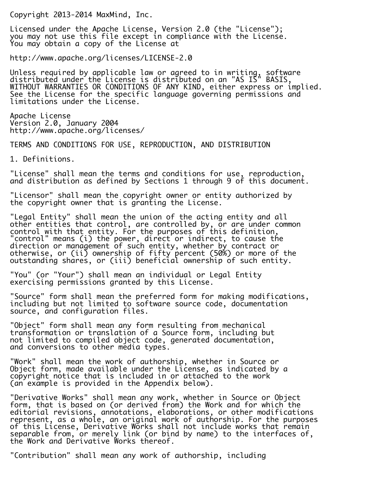Copyright 2013-2014 MaxMind, Inc.

Licensed under the Apache License, Version 2.0 (the "License"); you may not use this file except in compliance with the License. You may obtain a copy of the License at

http://www.apache.org/licenses/LICENSE-2.0

Unless required by applicable law or agreed to in writing, software distributed under the License is distributed on an "AS IS" BASIS, WITHOUT WARRANTIES OR CONDITIONS OF ANY KIND, either express or implied. See the License for the specific language governing permissions and limitations under the License.

Apache License Version 2.0, January 2004 http://www.apache.org/licenses/

TERMS AND CONDITIONS FOR USE, REPRODUCTION, AND DISTRIBUTION

1. Definitions.

"License" shall mean the terms and conditions for use, reproduction, and distribution as defined by Sections 1 through 9 of this document.

"Licensor" shall mean the copyright owner or entity authorized by the copyright owner that is granting the License.

"Legal Entity" shall mean the union of the acting entity and all other entities that control, are controlled by, or are under common control with that entity. For the purposes of this definition, "control" means (i) the power, direct or indirect, to cause the direction or management of such entity, whether by contract or otherwise, or (ii) ownership of fifty percent (50%) or more of the outstanding shares, or (iii) beneficial ownership of such entity.

"You" (or "Your") shall mean an individual or Legal Entity exercising permissions granted by this License.

"Source" form shall mean the preferred form for making modifications, including but not limited to software source code, documentation source, and configuration files.

"Object" form shall mean any form resulting from mechanical transformation or translation of a Source form, including but not limited to compiled object code, generated documentation, and conversions to other media types.

"Work" shall mean the work of authorship, whether in Source or Object form, made available under the License, as indicated by a copyright notice that is included in or attached to the work (an example is provided in the Appendix below).

"Derivative Works" shall mean any work, whether in Source or Object form, that is based on (or derived from) the Work and for which the editorial revisions, annotations, elaborations, or other modifications represent, as a whole, an original work of authorship. For the purposes of this License, Derivative Works shall not include works that remain separable from, or merely link (or bind by name) to the interfaces of, the Work and Derivative Works thereof.

"Contribution" shall mean any work of authorship, including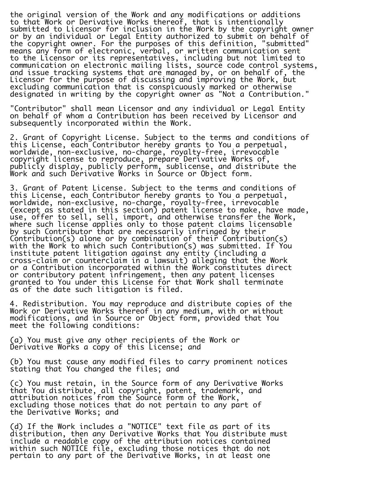the original version of the Work and any modifications or additions to that Work or Derivative Works thereof, that is intentionally submitted to Licensor for inclusion in the Work by the copyright owner or by an individual or Legal Entity authorized to submit on behalf of the copyright owner. For the purposes of this definition, "submitted" means any form of electronic, verbal, or written communication sent to the Licensor or its representatives, including but not limited to communication on electronic mailing lists, source code control systems, and issue tracking systems that are managed by, or on behalf of, the Licensor for the purpose of discussing and improving the Work, but excluding communication that is conspicuously marked or otherwise designated in writing by the copyright owner as "Not a Contribution."

"Contributor" shall mean Licensor and any individual or Legal Entity on behalf of whom a Contribution has been received by Licensor and subsequently incorporated within the Work.

2. Grant of Copyright License. Subject to the terms and conditions of this License, each Contributor hereby grants to You a perpetual, worldwide, non-exclusive, no-charge, royalty-free, irrevocable copyright license to reproduce, prepare Derivative Works of, publicly display, publicly perform, sublicense, and distribute the Work and such Derivative Works in Source or Object form.

3. Grant of Patent License. Subject to the terms and conditions of this License, each Contributor hereby grants to You a perpetual, worldwide, non-exclusive, no-charge, royalty-free, irrevocable (except as stated in this section) patent license to make, have made, use, offer to sell, sell, import, and otherwise transfer the Work, where such license applies only to those patent claims licensable by such Contributor that are necessarily infringed by their Contribution(s) alone or by combination of their Contribution(s) with the Work to which such Contribution(s) was submitted. If You institute patent litigation against any entity (including a cross-claim or counterclaim in a lawsuit) alleging that the Work or a Contribution incorporated within the Work constitutes direct or contributory patent infringement, then any patent licenses granted to You under this License for that Work shall terminate as of the date such litigation is filed.

4. Redistribution. You may reproduce and distribute copies of the Work or Derivative Works thereof in any medium, with or without modifications, and in Source or Object form, provided that You meet the following conditions:

(a) You must give any other recipients of the Work or Derivative Works a copy of this License; and

(b) You must cause any modified files to carry prominent notices stating that You changed the files; and

(c) You must retain, in the Source form of any Derivative Works that You distribute, all copyright, patent, trademark, and attribution notices from the Source form of the Work, excluding those notices that do not pertain to any part of the Derivative Works; and

(d) If the Work includes a "NOTICE" text file as part of its distribution, then any Derivative Works that You distribute must include a readable copy of the attribution notices contained within such NOTICE file, excluding those notices that do not pertain to any part of the Derivative Works, in at least one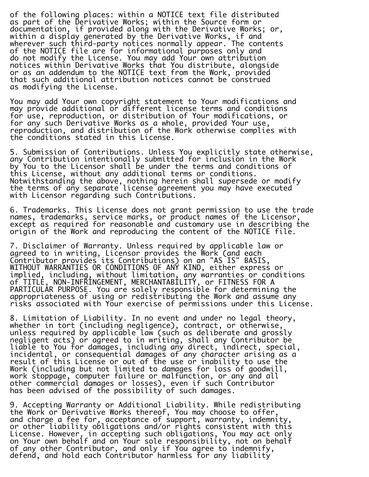of the following places: within a NOTICE text file distributed as part of the Derivative Works; within the Source form or documentation, if provided along with the Derivative Works; or, within a display generated by the Derivative Works, if and wherever such third-party notices normally appear. The contents of the NOTICE file are for informational purposes only and do not modify the License. You may add Your own attribution notices within Derivative Works that You distribute, alongside or as an addendum to the NOTICE text from the Work, provided that such additional attribution notices cannot be construed as modifying the License.

You may add Your own copyright statement to Your modifications and may provide additional or different license terms and conditions for use, reproduction, or distribution of Your modifications, or for any such Derivative Works as a whole, provided Your use, reproduction, and distribution of the Work otherwise complies with the conditions stated in this License.

5. Submission of Contributions. Unless You explicitly state otherwise, any Contribution intentionally submitted for inclusion in the Work by You to the Licensor shall be under the terms and conditions of this License, without any additional terms or conditions. Notwithstanding the above, nothing herein shall supersede or modify the terms of any separate license agreement you may have executed with Licensor regarding such Contributions.

6. Trademarks. This License does not grant permission to use the trade names, trademarks, service marks, or product names of the Licensor, except as required for reasonable and customary use in describing the origin of the Work and reproducing the content of the NOTICE file.

7. Disclaimer of Warranty. Unless required by applicable law or agreed to in writing, Licensor provides the Work (and each Contributor provides its Contributions) on an "AS IS" BASIS, WITHOUT WARRANTIES OR CONDITIONS OF ANY KIND, either express or implied, including, without limitation, any warranties or conditions of TITLE, NON-INFRINGEMENT, MERCHANTABILITY, or FITNESS FOR A PARTICULAR PURPOSE. You are solely responsible for determining the appropriateness of using or redistributing the Work and assume any risks associated with Your exercise of permissions under this License.

8. Limitation of Liability. In no event and under no legal theory, whether in tort (including negligence), contract, or otherwise, unless required by applicable law (such as deliberate and grossly negligent acts) or agreed to in writing, shall any Contributor be liāblē to You for damages, including any direct, indirect, special, incidental, or consequential damages of any character arising as a result of this License or out of the use or inability to use the Work (including but not limited to damages for loss of goodwill, work stoppage, computer failure or malfunction, or any and all other commercial damages or losses), even if such Contributor has been advised of the possibility of such damages.

9. Accepting Warranty or Additional Liability. While redistributing the Work or Derivative Works thereof, You may choose to offer, and charge a fee for, acceptance of support, warranty, indemnity, or other liability obligations and/or rights consistent with this License. However, in accepting such obligations, You may act only on Your own behalf and on Your sole responsibility, not on behalf of any other Contributor, and only if You agree to indemnify, defend, and hold each Contributor harmless for any liability